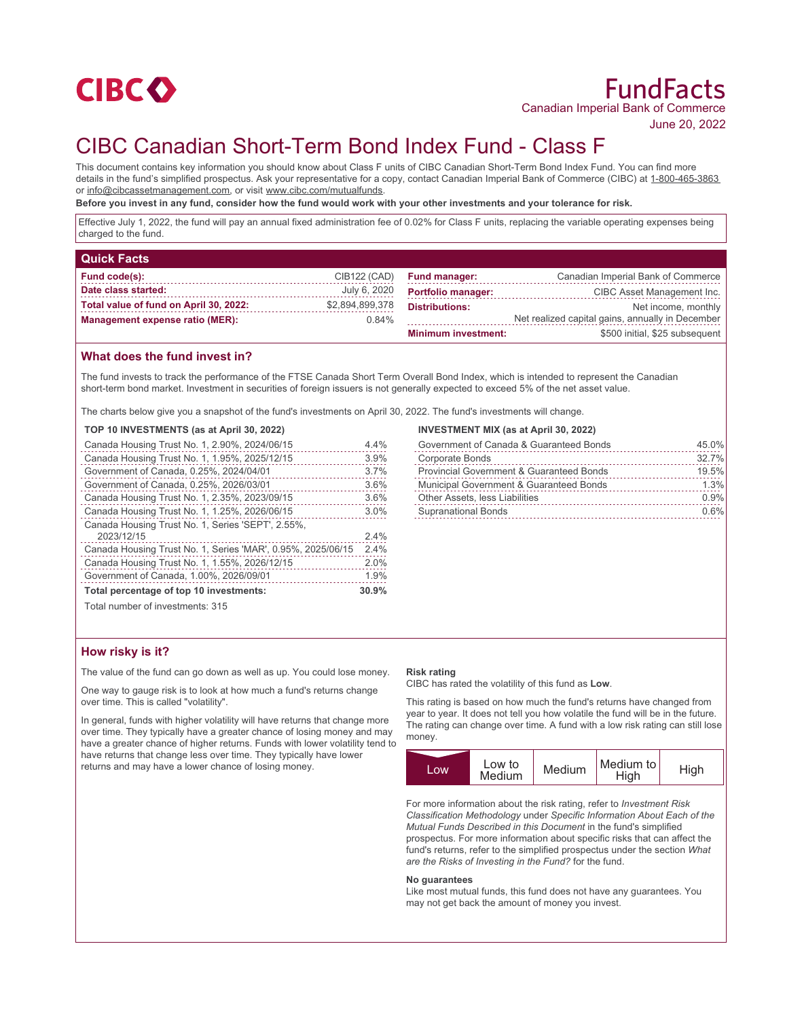

# FundFacts Canadian Imperial Bank of Commerce

June 20, 2022

## CIBC Canadian Short-Term Bond Index Fund - Class F

This document contains key information you should know about Class F units of CIBC Canadian Short-Term Bond Index Fund. You can find more details in the fund's simplified prospectus. Ask your representative for a copy, contact Canadian Imperial Bank of Commerce (CIBC) at 1-800-465-3863 or info@cibcassetmanagement.com, or visit www.cibc.com/mutualfunds.

**Before you invest in any fund, consider how the fund would work with your other investments and your tolerance for risk.**

Effective July 1, 2022, the fund will pay an annual fixed administration fee of 0.02% for Class F units, replacing the variable operating expenses being charged to the fund.

| <b>Quick Facts</b>                     |                 |                            |                                                  |
|----------------------------------------|-----------------|----------------------------|--------------------------------------------------|
| Fund code(s):                          | CIB122 (CAD)    | <b>Fund manager:</b>       | Canadian Imperial Bank of Commerce               |
| Date class started:                    | July 6, 2020    | <b>Portfolio manager:</b>  | CIBC Asset Management Inc.                       |
| Total value of fund on April 30, 2022: | \$2,894,899,378 | <b>Distributions:</b>      | Net income, monthly                              |
| <b>Management expense ratio (MER):</b> | 0.84%           |                            | Net realized capital gains, annually in December |
|                                        |                 | <b>Minimum investment:</b> | \$500 initial, \$25 subsequent                   |

#### **What does the fund invest in?**

The fund invests to track the performance of the FTSE Canada Short Term Overall Bond Index, which is intended to represent the Canadian short-term bond market. Investment in securities of foreign issuers is not generally expected to exceed 5% of the net asset value.

The charts below give you a snapshot of the fund's investments on April 30, 2022. The fund's investments will change.

#### **TOP 10 INVESTMENTS (as at April 30, 2022)**

| Canada Housing Trust No. 1, 2.90%, 2024/06/15               | 4.4%  |
|-------------------------------------------------------------|-------|
| Canada Housing Trust No. 1, 1.95%, 2025/12/15               | 3.9%  |
| Government of Canada, 0.25%, 2024/04/01                     | 3.7%  |
| Government of Canada, 0.25%, 2026/03/01                     | 3.6%  |
| Canada Housing Trust No. 1, 2.35%, 2023/09/15               | 3.6%  |
| Canada Housing Trust No. 1, 1.25%, 2026/06/15               | 3.0%  |
| Canada Housing Trust No. 1, Series 'SEPT', 2.55%,           |       |
| 2023/12/15                                                  | 2.4%  |
| Canada Housing Trust No. 1, Series 'MAR', 0.95%, 2025/06/15 | 2.4%  |
| Canada Housing Trust No. 1, 1.55%, 2026/12/15               | 2.0%  |
| Government of Canada, 1.00%, 2026/09/01                     | 1.9%  |
| Total percentage of top 10 investments:                     | 30.9% |
| Total number of investments: 315                            |       |

#### **INVESTMENT MIX (as at April 30, 2022)**

| Government of Canada & Guaranteed Bonds             | 45.0% |
|-----------------------------------------------------|-------|
| <b>Corporate Bonds</b>                              | 32.7% |
| <b>Provincial Government &amp; Guaranteed Bonds</b> | 19.5% |
| <b>Municipal Government &amp; Guaranteed Bonds</b>  | 1.3%  |
| <b>Other Assets, less Liabilities</b>               | 0.9%  |
| <b>Supranational Bonds</b>                          | 0.6%  |

#### **How risky is it?**

The value of the fund can go down as well as up. You could lose money.

One way to gauge risk is to look at how much a fund's returns change over time. This is called "volatility".

In general, funds with higher volatility will have returns that change more over time. They typically have a greater chance of losing money and may have a greater chance of higher returns. Funds with lower volatility tend to have returns that change less over time. They typically have lower returns and may have a lower chance of losing money.

#### **Risk rating**

CIBC has rated the volatility of this fund as **Low**.

This rating is based on how much the fund's returns have changed from year to year. It does not tell you how volatile the fund will be in the future. The rating can change over time. A fund with a low risk rating can still lose money.



For more information about the risk rating, refer to *Investment Risk Classification Methodology* under *Specific Information About Each of the Mutual Funds Described in this Document* in the fund's simplified prospectus. For more information about specific risks that can affect the fund's returns, refer to the simplified prospectus under the section *What are the Risks of Investing in the Fund?* for the fund.

#### **No guarantees**

Like most mutual funds, this fund does not have any guarantees. You may not get back the amount of money you invest.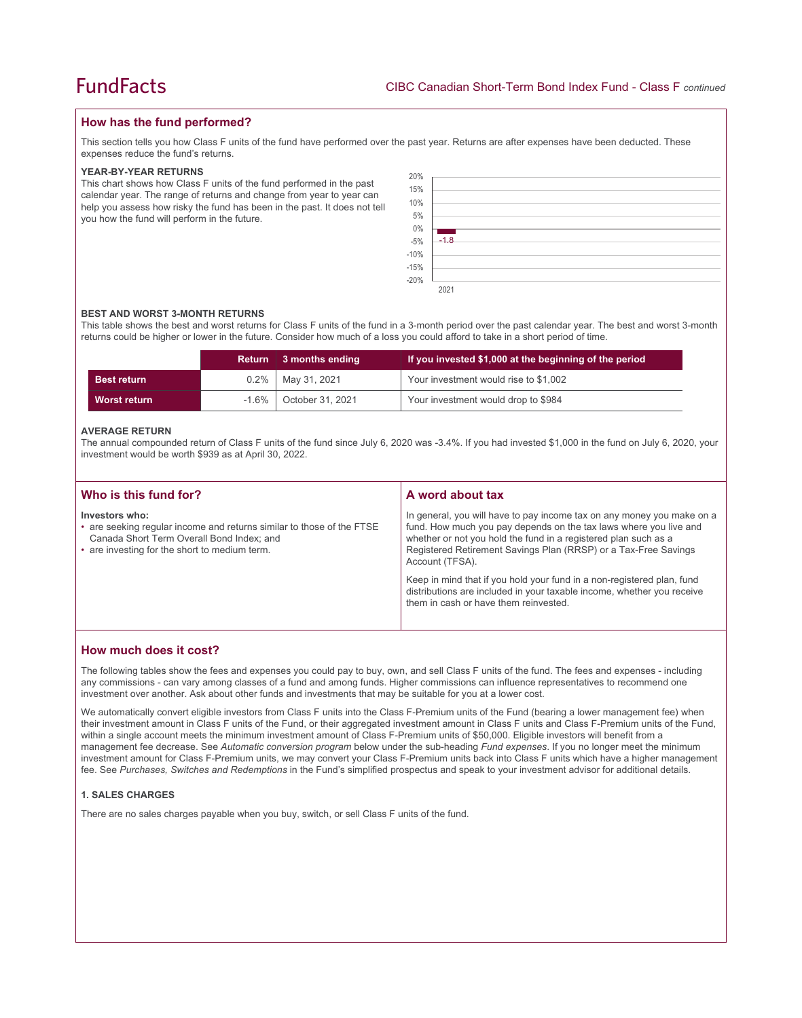#### **How has the fund performed?**

This section tells you how Class F units of the fund have performed over the past year. Returns are after expenses have been deducted. These expenses reduce the fund's returns.

#### **YEAR-BY-YEAR RETURNS**

This chart shows how Class F units of the fund performed in the past calendar year. The range of returns and change from year to year can help you assess how risky the fund has been in the past. It does not tell you how the fund will perform in the future.

| 20%                  |        |
|----------------------|--------|
| 15%                  |        |
|                      |        |
| 10%                  |        |
| 5%                   |        |
|                      |        |
|                      |        |
|                      | $-1.8$ |
|                      |        |
| $0\%$<br>-5%<br>-10% |        |
| $-15%$<br>$-20%$     |        |

#### **BEST AND WORST 3-MONTH RETURNS**

This table shows the best and worst returns for Class F units of the fund in a 3-month period over the past calendar year. The best and worst 3-month returns could be higher or lower in the future. Consider how much of a loss you could afford to take in a short period of time.

|                    | <b>Return</b> | ∣ 3 months ending | If you invested \$1,000 at the beginning of the period |
|--------------------|---------------|-------------------|--------------------------------------------------------|
| <b>Best return</b> | $0.2\%$       | May 31, 2021      | Your investment would rise to \$1,002                  |
| Worst return       | $-1.6\%$      | October 31, 2021  | Your investment would drop to \$984                    |

#### **AVERAGE RETURN**

The annual compounded return of Class F units of the fund since July 6, 2020 was -3.4%. If you had invested \$1,000 in the fund on July 6, 2020, your investment would be worth \$939 as at April 30, 2022.

| Who is this fund for?                                                                                                                                                                 | A word about tax                                                                                                                                                                                                                                                                                     |
|---------------------------------------------------------------------------------------------------------------------------------------------------------------------------------------|------------------------------------------------------------------------------------------------------------------------------------------------------------------------------------------------------------------------------------------------------------------------------------------------------|
| Investors who:<br>• are seeking regular income and returns similar to those of the FTSE<br>Canada Short Term Overall Bond Index; and<br>• are investing for the short to medium term. | In general, you will have to pay income tax on any money you make on a<br>fund. How much you pay depends on the tax laws where you live and<br>whether or not you hold the fund in a registered plan such as a<br>Registered Retirement Savings Plan (RRSP) or a Tax-Free Savings<br>Account (TFSA). |
|                                                                                                                                                                                       | Keep in mind that if you hold your fund in a non-registered plan, fund<br>distributions are included in your taxable income, whether you receive<br>them in cash or have them reinvested.                                                                                                            |

#### **How much does it cost?**

The following tables show the fees and expenses you could pay to buy, own, and sell Class F units of the fund. The fees and expenses - including any commissions - can vary among classes of a fund and among funds. Higher commissions can influence representatives to recommend one investment over another. Ask about other funds and investments that may be suitable for you at a lower cost.

We automatically convert eligible investors from Class F units into the Class F-Premium units of the Fund (bearing a lower management fee) when their investment amount in Class F units of the Fund, or their aggregated investment amount in Class F units and Class F-Premium units of the Fund, within a single account meets the minimum investment amount of Class F-Premium units of \$50,000. Eligible investors will benefit from a management fee decrease. See *Automatic conversion program* below under the sub-heading *Fund expenses*. If you no longer meet the minimum investment amount for Class F-Premium units, we may convert your Class F-Premium units back into Class F units which have a higher management fee. See *Purchases, Switches and Redemptions* in the Fund's simplified prospectus and speak to your investment advisor for additional details.

#### **1. SALES CHARGES**

There are no sales charges payable when you buy, switch, or sell Class F units of the fund.